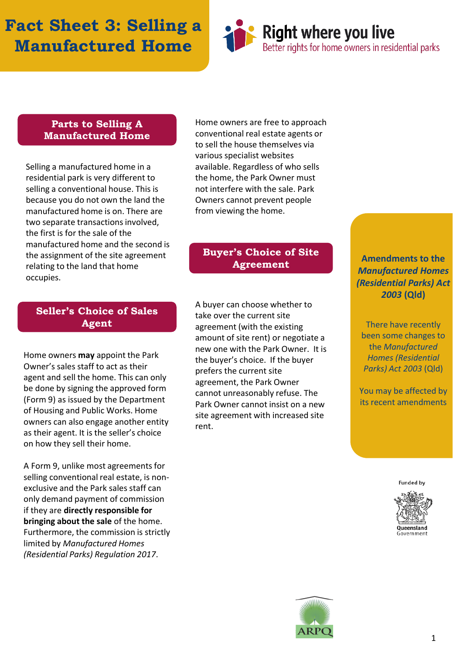## **Fact Sheet 3: Selling a Manufactured Home**



#### **Parts to Selling A Manufactured Home**

Selling a manufactured home in a residential park is very different to selling a conventional house. This is because you do not own the land the manufactured home is on. There are two separate transactions involved, the first is for the sale of the manufactured home and the second is the assignment of the site agreement relating to the land that home occupies.

**Seller's Choice of Sales Agent**

Home owners **may** appoint the Park Owner's sales staff to act as their agent and sell the home. This can only be done by signing the approved form (Form 9) as issued by the Department of Housing and Public Works. Home owners can also engage another entity as their agent. It is the seller's choice on how they sell their home.

A Form 9, unlike most agreements for selling conventional real estate, is nonexclusive and the Park sales staff can only demand payment of commission if they are **directly responsible for bringing about the sale** of the home. Furthermore, the commission is strictly limited by *Manufactured Homes (Residential Parks) Regulation 2017*.

Home owners are free to approach conventional real estate agents or to sell the house themselves via various specialist websites available. Regardless of who sells the home, the Park Owner must not interfere with the sale. Park Owners cannot prevent people from viewing the home.

### **Buyer's Choice of Site Agreement**

A buyer can choose whether to take over the current site agreement (with the existing amount of site rent) or negotiate a new one with the Park Owner. It is the buyer's choice. If the buyer prefers the current site agreement, the Park Owner cannot unreasonably refuse. The Park Owner cannot insist on a new site agreement with increased site rent.

**Amendments to the**  *Manufactured Homes (Residential Parks) Act 2003* **(Qld)**

There have recently been some changes to the *Manufactured Homes (Residential Parks) Act 2003* (Qld)

You may be affected by its recent amendments

**Funded by**